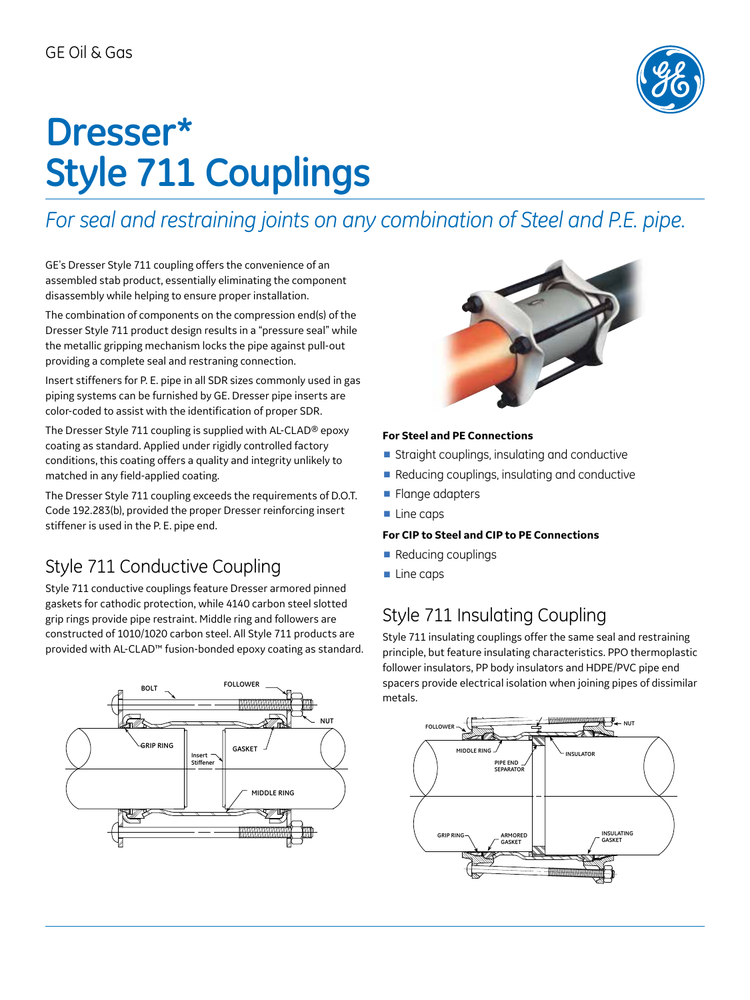

# **Dresser\* Style 711 Couplings**

*For seal and restraining joints on any combination of Steel and P.E. pipe.*

GE's Dresser Style 711 coupling offers the convenience of an assembled stab product, essentially eliminating the component disassembly while helping to ensure proper installation.

The combination of components on the compression end(s) of the Dresser Style 711 product design results in a "pressure seal" while the metallic gripping mechanism locks the pipe against pull-out providing a complete seal and restraning connection.

Insert stiffeners for P. E. pipe in all SDR sizes commonly used in gas piping systems can be furnished by GE. Dresser pipe inserts are color-coded to assist with the identification of proper SDR.

The Dresser Style 711 coupling is supplied with AL-CLAD® epoxy coating as standard. Applied under rigidly controlled factory conditions, this coating offers a quality and integrity unlikely to matched in any field-applied coating.

The Dresser Style 711 coupling exceeds the requirements of D.O.T. Code 192.283(b), provided the proper Dresser reinforcing insert stiffener is used in the P. E. pipe end.

# Style 711 Conductive Coupling

Style 711 conductive couplings feature Dresser armored pinned gaskets for cathodic protection, while 4140 carbon steel slotted grip rings provide pipe restraint. Middle ring and followers are constructed of 1010/1020 carbon steel. All Style 711 products are provided with AL-CLAD™ fusion-bonded epoxy coating as standard.





### **For Steel and PE Connections**

- Straight couplings, insulating and conductive
- Reducing couplings, insulating and conductive
- Flange adapters
- Line caps

### **For CIP to Steel and CIP to PE Connections**

- Reducing couplings
- Line caps

# Style 711 Insulating Coupling

Style 711 insulating couplings offer the same seal and restraining principle, but feature insulating characteristics. PPO thermoplastic follower insulators, PP body insulators and HDPE/PVC pipe end spacers provide electrical isolation when joining pipes of dissimilar metals.

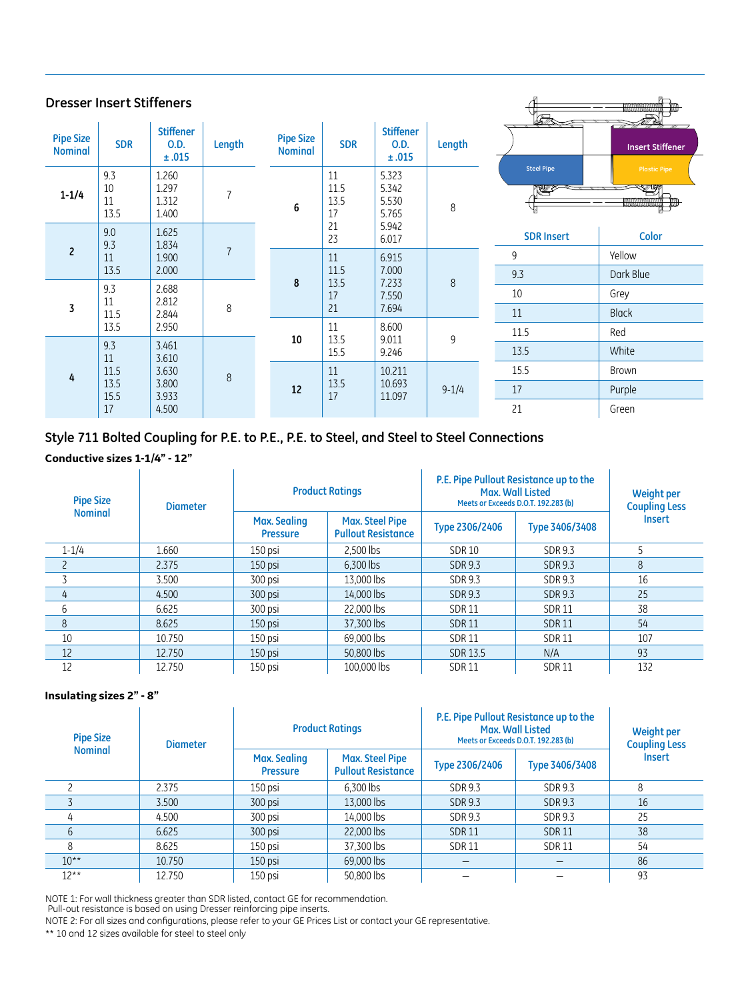| <b>Dresser Insert Stiffeners</b>   |                         |                                   |                           |                                    |                          |                                   | <b>STA</b>        | WWWWWWWW                          |                                                             |
|------------------------------------|-------------------------|-----------------------------------|---------------------------|------------------------------------|--------------------------|-----------------------------------|-------------------|-----------------------------------|-------------------------------------------------------------|
| <b>Pipe Size</b><br><b>Nominal</b> | <b>SDR</b>              | <b>Stiffener</b><br>O.D.<br>±.015 | Length                    | <b>Pipe Size</b><br><b>Nominal</b> | <b>SDR</b>               | <b>Stiffener</b><br>O.D.<br>±.015 | Length            |                                   | <b>Insert Stiffener</b>                                     |
| $1 - 1/4$                          | 9.3<br>10<br>11<br>13.5 | 1.260<br>1.297<br>1.312<br>1.400  | $\overline{7}$            | 6                                  | 11<br>11.5<br>13.5<br>17 | 5.323<br>5.342<br>5.530<br>5.765  | 8                 | <b>Steel Pipe</b><br><b>RANGE</b> | <b>Plastic Pipe</b><br><b>WIN</b><br><b>ANNOUNDATION AN</b> |
|                                    | 9.0<br>1.625<br>9.3     | 1.834                             |                           | 21<br>5.942<br>23<br>6.017         |                          |                                   | <b>SDR Insert</b> | <b>Color</b>                      |                                                             |
| $\overline{c}$<br>11               | 1.900                   | $\overline{7}$                    |                           | 11                                 | 6.915                    |                                   | 9                 | Yellow                            |                                                             |
|                                    | 13.5                    | 2.000                             |                           | 8                                  | 11.5<br>13.5             | 7.000<br>7.233                    | $\,8\,$           | 9.3                               | Dark Blue                                                   |
|                                    | 9.3<br>11               | 2.688<br>2.812                    |                           |                                    | 17                       | 7.550                             |                   | 10                                | Grey                                                        |
| 3                                  | 11.5                    | 2.844                             | 8                         |                                    | 21                       | 7.694                             |                   | 11                                | <b>Black</b>                                                |
|                                    | 13.5                    | 2.950                             |                           |                                    | 11                       | 8.600                             |                   | 11.5                              | Red                                                         |
| 9.3<br>11<br>11.5<br>4<br>13.5     | 3.461<br>3.610          |                                   | 10                        | 13.5<br>15.5                       | 9.011<br>9.246           | 9                                 | 13.5              | White                             |                                                             |
|                                    |                         | 3.630                             | $\,8\,$<br>3.800<br>3.933 | 12                                 | 11<br>13.5<br>17         | 10.211<br>10.693<br>11.097        |                   | 15.5                              | <b>Brown</b>                                                |
|                                    | 15.5                    |                                   |                           |                                    |                          |                                   | $9 - 1/4$         | 17                                | Purple                                                      |
|                                    | 17                      | 4.500                             |                           |                                    |                          |                                   |                   | 21                                | Green                                                       |

### **Style 711 Bolted Coupling for P.E. to P.E., P.E. to Steel, and Steel to Steel Connections**

#### **Conductive sizes 1-1/4" - 12"**

| <b>Pipe Size</b> | <b>Diameter</b> |                                        | <b>Product Ratings</b>                              | P.E. Pipe Pullout Resistance up to the<br>Max. Wall Listed<br>Meets or Exceeds D.O.T. 192.283 (b) | Weight per<br><b>Coupling Less</b> |               |  |
|------------------|-----------------|----------------------------------------|-----------------------------------------------------|---------------------------------------------------------------------------------------------------|------------------------------------|---------------|--|
| <b>Nominal</b>   |                 | <b>Max. Sealing</b><br><b>Pressure</b> | <b>Max. Steel Pipe</b><br><b>Pullout Resistance</b> | Type 2306/2406                                                                                    | Type 3406/3408                     | <b>Insert</b> |  |
| $1 - 1/4$        | 1.660           | $150$ psi                              | 2.500 lbs                                           | <b>SDR10</b>                                                                                      | SDR 9.3                            | 5             |  |
|                  | 2.375           | $150$ psi                              | 6.300 lbs                                           | <b>SDR 9.3</b>                                                                                    | <b>SDR 9.3</b>                     | 8             |  |
|                  | 3.500           | 300 psi                                | 13.000 lbs                                          | SDR 9.3                                                                                           | SDR 9.3                            | 16            |  |
| 4                | 4.500           | 300 psi                                | 14.000 lbs                                          | <b>SDR 9.3</b>                                                                                    | SDR 9.3                            | 25            |  |
| 6                | 6.625           | 300 psi                                | 22,000 lbs                                          | <b>SDR11</b>                                                                                      | <b>SDR11</b>                       | 38            |  |
| 8                | 8.625           | 150 psi                                | 37.300 lbs                                          | <b>SDR11</b>                                                                                      | <b>SDR11</b>                       | 54            |  |
| 10               | 10.750          | 150 psi                                | 69,000 lbs                                          | <b>SDR11</b>                                                                                      | <b>SDR11</b>                       | 107           |  |
| 12               | 12.750          | 150 psi                                | 50.800 lbs                                          | SDR 13.5                                                                                          | N/A                                | 93            |  |
| 12               | 12.750          | 150 psi                                | 100,000 lbs                                         | <b>SDR11</b>                                                                                      | <b>SDR11</b>                       | 132           |  |

#### **Insulating sizes 2" - 8"**

| <b>Pipe Size</b> | <b>Diameter</b> | <b>Product Ratings</b>          |                                                     | P.E. Pipe Pullout Resistance up to the<br>Max. Wall Listed<br>Meets or Exceeds D.O.T. 192.283 (b) | Weight per<br><b>Coupling Less</b> |               |
|------------------|-----------------|---------------------------------|-----------------------------------------------------|---------------------------------------------------------------------------------------------------|------------------------------------|---------------|
| <b>Nominal</b>   |                 | Max. Sealing<br><b>Pressure</b> | <b>Max. Steel Pipe</b><br><b>Pullout Resistance</b> | Type 2306/2406                                                                                    | Type 3406/3408                     | <b>Insert</b> |
|                  | 2.375           | 150 psi                         | 6.300 lbs                                           | SDR 9.3                                                                                           | SDR 9.3                            | 8             |
|                  | 3.500           | 300 psi                         | 13,000 lbs                                          | SDR 9.3                                                                                           | <b>SDR 9.3</b>                     | 16            |
| 4                | 4.500           | 300 psi                         | 14.000 lbs                                          | SDR 9.3                                                                                           | SDR 9.3                            | 25            |
| 6                | 6.625           | 300 psi                         | 22,000 lbs                                          | <b>SDR11</b>                                                                                      | <b>SDR11</b>                       | 38            |
| 8                | 8.625           | 150 psi                         | 37.300 lbs                                          | <b>SDR11</b>                                                                                      | <b>SDR11</b>                       | 54            |
| $10***$          | 10.750          | 150 psi                         | 69,000 lbs                                          |                                                                                                   |                                    | 86            |
| $12***$          | 12.750          | 150 psi                         | 50.800 lbs                                          |                                                                                                   |                                    | 93            |

NOTE 1: For wall thickness greater than SDR listed, contact GE for recommendation. Pull-out resistance is based on using Dresser reinforcing pipe inserts.

NOTE 2: For all sizes and configurations, please refer to your GE Prices List or contact your GE representative.

\*\* 10 and 12 sizes available for steel to steel only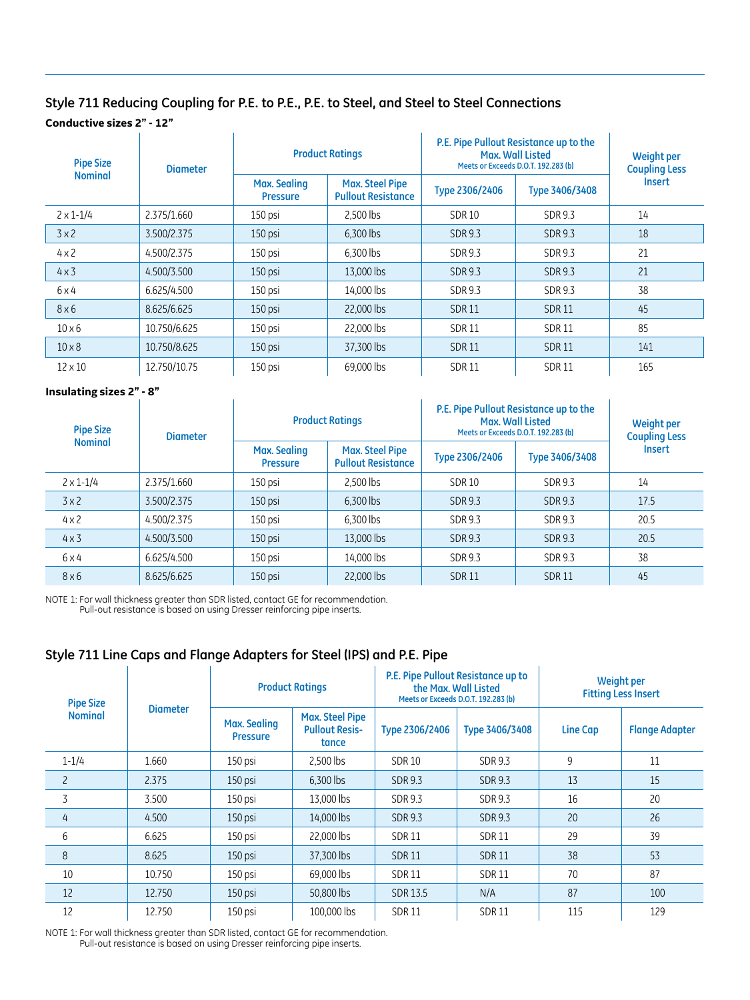#### **Style 711 Reducing Coupling for P.E. to P.E., P.E. to Steel, and Steel to Steel Connections Conductive sizes 2" - 12"** à.

| <b>Pipe Size</b>   | <b>Diameter</b> |                                        | <b>Product Ratings</b>                              | P.E. Pipe Pullout Resistance up to the<br>Max. Wall Listed<br>Meets or Exceeds D.O.T. 192.283 (b) | Weight per<br><b>Coupling Less</b> |               |  |
|--------------------|-----------------|----------------------------------------|-----------------------------------------------------|---------------------------------------------------------------------------------------------------|------------------------------------|---------------|--|
| <b>Nominal</b>     |                 | <b>Max. Sealing</b><br><b>Pressure</b> | <b>Max. Steel Pipe</b><br><b>Pullout Resistance</b> | Type 2306/2406                                                                                    | Type 3406/3408                     | <b>Insert</b> |  |
| $2 \times 1 - 1/4$ | 2.375/1.660     | 150 psi                                | 2.500 lbs                                           | <b>SDR10</b>                                                                                      | SDR 9.3                            | 14            |  |
| 3x2                | 3.500/2.375     | 150 psi                                | 6.300 lbs                                           | <b>SDR 9.3</b>                                                                                    | <b>SDR 9.3</b>                     | 18            |  |
| $4 \times 2$       | 4.500/2.375     | 150 psi                                | 6,300 lbs                                           | <b>SDR 9.3</b>                                                                                    | <b>SDR 9.3</b>                     | 21            |  |
| $4 \times 3$       | 4.500/3.500     | 150 psi                                | 13.000 lbs                                          | <b>SDR 9.3</b>                                                                                    | SDR 9.3                            | 21            |  |
| $6\times4$         | 6.625/4.500     | 150 psi                                | 14.000 lbs                                          | <b>SDR 9.3</b>                                                                                    | <b>SDR 9.3</b>                     | 38            |  |
| $8\times 6$        | 8.625/6.625     | 150 psi                                | 22,000 lbs                                          | <b>SDR11</b>                                                                                      | <b>SDR11</b>                       | 45            |  |
| $10\times 6$       | 10.750/6.625    | 150 psi                                | 22,000 lbs                                          | <b>SDR11</b>                                                                                      | <b>SDR11</b>                       | 85            |  |
| $10 \times 8$      | 10.750/8.625    | 150 psi                                | 37.300 lbs                                          | <b>SDR11</b>                                                                                      | <b>SDR11</b>                       | 141           |  |
| $12 \times 10$     | 12.750/10.75    | 150 psi                                | 69,000 lbs                                          | <b>SDR11</b>                                                                                      | <b>SDR11</b>                       | 165           |  |

### **Insulating sizes 2" - 8"**

| <b>Pipe Size</b>   | <b>Diameter</b> | <b>Product Ratings</b>                 |                                                     | P.E. Pipe Pullout Resistance up to the<br>Max. Wall Listed<br>Meets or Exceeds D.O.T. 192.283 (b) | Weight per<br><b>Coupling Less</b> |               |
|--------------------|-----------------|----------------------------------------|-----------------------------------------------------|---------------------------------------------------------------------------------------------------|------------------------------------|---------------|
| <b>Nominal</b>     |                 | <b>Max. Sealing</b><br><b>Pressure</b> | <b>Max. Steel Pipe</b><br><b>Pullout Resistance</b> | Type 2306/2406                                                                                    | Type 3406/3408                     | <b>Insert</b> |
| $2 \times 1 - 1/4$ | 2.375/1.660     | 150 psi                                | 2.500 lbs                                           | <b>SDR 10</b>                                                                                     | SDR 9.3                            | 14            |
| 3x2                | 3.500/2.375     | 150 psi                                | 6,300 lbs                                           | <b>SDR 9.3</b>                                                                                    | SDR 9.3                            | 17.5          |
| $4 \times 2$       | 4.500/2.375     | 150 psi                                | 6.300 lbs                                           | SDR 9.3                                                                                           | SDR 9.3                            | 20.5          |
| $4 \times 3$       | 4.500/3.500     | $150$ psi                              | 13,000 lbs                                          | <b>SDR 9.3</b>                                                                                    | SDR 9.3                            | 20.5          |
| $6\times4$         | 6.625/4.500     | 150 psi                                | 14.000 lbs                                          | SDR 9.3                                                                                           | SDR 9.3                            | 38            |
| $8\times 6$        | 8.625/6.625     | $150$ psi                              | 22,000 lbs                                          | <b>SDR11</b>                                                                                      | <b>SDR11</b>                       | 45            |

 $\hat{L}$ 

NOTE 1: For wall thickness greater than SDR listed, contact GE for recommendation. Pull-out resistance is based on using Dresser reinforcing pipe inserts.

## **Style 711 Line Caps and Flange Adapters for Steel (IPS) and P.E. Pipe**

| <b>Pipe Size</b> | <b>Diameter</b> | <b>Product Ratings</b>                 |                                                          |                 | P.E. Pipe Pullout Resistance up to<br>the Max. Wall Listed<br>Meets or Exceeds D.O.T. 192.283 (b) | <b>Weight per</b><br><b>Fitting Less Insert</b> |                       |
|------------------|-----------------|----------------------------------------|----------------------------------------------------------|-----------------|---------------------------------------------------------------------------------------------------|-------------------------------------------------|-----------------------|
| <b>Nominal</b>   |                 | <b>Max. Sealing</b><br><b>Pressure</b> | <b>Max. Steel Pipe</b><br><b>Pullout Resis-</b><br>tance | Type 2306/2406  | Type 3406/3408                                                                                    | <b>Line Cap</b>                                 | <b>Flange Adapter</b> |
| $1 - 1/4$        | 1.660           | 150 psi                                | 2,500 lbs                                                | <b>SDR10</b>    | SDR 9.3                                                                                           | 9                                               | 11                    |
| $\overline{c}$   | 2.375           | 150 psi                                | 6.300 lbs                                                | SDR 9.3         | SDR 9.3                                                                                           | 13                                              | 15                    |
| 3                | 3.500           | 150 psi                                | 13.000 lbs                                               | SDR 9.3         | SDR 9.3                                                                                           | 16                                              | 20                    |
| 4                | 4.500           | 150 psi                                | 14.000 lbs                                               | SDR 9.3         | SDR 9.3                                                                                           | 20                                              | 26                    |
| 6                | 6.625           | 150 psi                                | 22,000 lbs                                               | <b>SDR11</b>    | <b>SDR11</b>                                                                                      | 29                                              | 39                    |
| 8                | 8.625           | 150 psi                                | 37.300 lbs                                               | <b>SDR11</b>    | <b>SDR11</b>                                                                                      | 38                                              | 53                    |
| 10               | 10.750          | 150 psi                                | 69.000 lbs                                               | <b>SDR11</b>    | <b>SDR11</b>                                                                                      | 70                                              | 87                    |
| 12               | 12.750          | 150 psi                                | 50,800 lbs                                               | <b>SDR 13.5</b> | N/A                                                                                               | 87                                              | 100                   |
| 12               | 12.750          | 150 psi                                | 100,000 lbs                                              | <b>SDR11</b>    | <b>SDR11</b>                                                                                      | 115                                             | 129                   |

NOTE 1: For wall thickness greater than SDR listed, contact GE for recommendation. Pull-out resistance is based on using Dresser reinforcing pipe inserts.